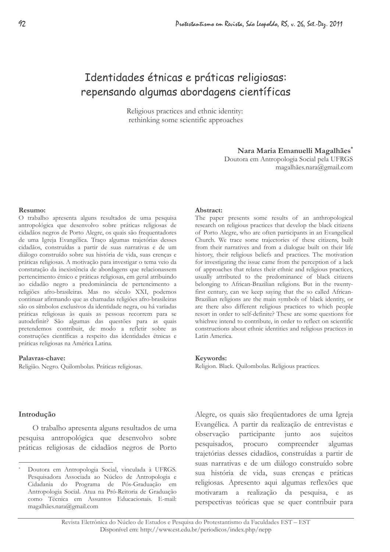# Identidades étnicas e práticas religiosas: repensando algumas abordagens científicas

Religious practices and ethnic identity: rethinking some scientific approaches

## Nara Maria Emanuelli Magalhães\*

Doutora em Antropologia Social pela UFRGS magalhães.nara@gmail.com

#### Resumo:

O trabalho apresenta alguns resultados de uma pesquisa antropológica que desenvolvo sobre práticas religiosas de cidadãos negros de Porto Alegre, os quais são frequentadores de uma Igreja Evangélica. Traço algumas trajetórias desses cidadãos, construídas a partir de suas narrativas e de um diálogo construído sobre sua história de vida, suas crenças e práticas religiosas. A motivação para investigar o tema veio da constatação da inexistência de abordagens que relacionassem pertencimento étnico e práticas religiosas, em geral atribuindo ao cidadão negro a predominância de pertencimento a religiões afro-brasileiras. Mas no século XXI, podemos continuar afirmando que as chamadas religiões afro-brasileiras são os símbolos exclusivos da identidade negra, ou há variadas práticas religiosas às quais as pessoas recorrem para se autodefinir? São algumas das questões para as quais pretendemos contribuir, de modo a refletir sobre as construções científicas a respeito das identidades étnicas e práticas religiosas na América Latina.

#### Palavras-chave:

Religião. Negro. Quilombolas. Práticas religiosas.

#### Abstract:

The paper presents some results of an anthropological research on religious practices that develop the black citizens of Porto Alegre, who are often participants in an Evangelical Church. We trace some trajectories of these citizens, built from their narratives and from a dialogue built on their life history, their religious beliefs and practices. The motivation for investigating the issue came from the perception of a lack of approaches that relates their ethnic and religious practices, usually attributed to the predominance of black citizens belonging to African-Brazilian religions. But in the twentyfirst century, can we keep saying that the so called African-Brazilian religions are the main symbols of black identity, or are there also different religious practices to which people resort in order to self-definite? These are some questions for whichwe intend to contribute, in order to reflect on scientific constructions about ethnic identities and religious practices in Latin America.

### Keywords:

Religion. Black. Quilombolas. Religious practices.

## Introdução

O trabalho apresenta alguns resultados de uma pesquisa antropológica que desenvolvo sobre práticas religiosas de cidadãos negros de Porto Alegre, os quais são freqüentadores de uma Igreja Evangélica. A partir da realização de entrevistas e participante junto aos observação sujeitos pesquisados, procuro compreender algumas trajetórias desses cidadãos, construídas a partir de suas narrativas e de um diálogo construído sobre sua história de vida, suas crenças e práticas religiosas. Apresento aqui algumas reflexões que motivaram a realização da pesquisa, e as perspectivas teóricas que se quer contribuir para

Doutora em Antropologia Social, vinculada à UFRGS. Pesquisadora Associada ao Núcleo de Antropologia e Cidadania do Programa de Pós-Graduação em Antropologia Social. Atua na Pró-Reitoria de Graduação como Técnica em Assuntos Educacionais. E-mail: magalhães.nara@gmail.com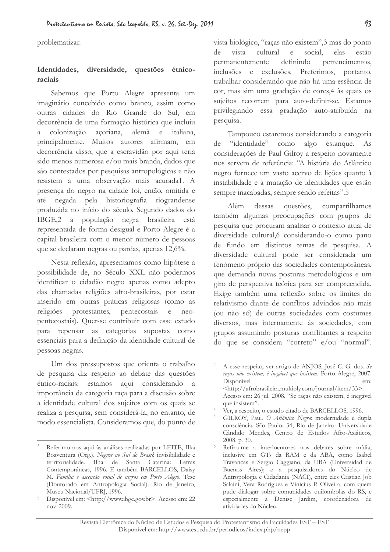problematizar.

#### Identidades. diversidade, questões étnicoraciais

Sabemos que Porto Alegre apresenta um imaginário concebido como branco, assim como outras cidades do Rio Grande do Sul, em decorrência de uma formação histórica que incluiu colonização acoriana, alemã e  $\lambda$ italiana, principalmente. Muitos autores afirmam, em decorrência disso, que a escravidão por aqui teria sido menos numerosa e/ou mais branda, dados que são contestados por pesquisas antropológicas e não resistem a uma observação mais acurada1. A presença do negro na cidade foi, então, omitida e até negada pela historiografia riograndense produzida no início do século. Segundo dados do IBGE,2 a população negra brasileira está representada de forma desigual e Porto Alegre é a capital brasileira com o menor número de pessoas que se declaram negras ou pardas, apenas 12,6%.

Nesta reflexão, apresentamos como hipótese a possibilidade de, no Século XXI, não podermos identificar o cidadão negro apenas como adepto das chamadas religiões afro-brasileiras, por estar inserido em outras práticas religiosas (como as religiões protestantes, pentecostais neo- $\epsilon$ pentecostais). Quer-se contribuir com esse estudo para repensar as categorias supostas como essenciais para a definição da identidade cultural de pessoas negras.

Um dos pressupostos que orienta o trabalho de pesquisa diz respeito ao debate das questões étnico-raciais: estamos aqui considerando a importância da categoria raça para a discusão sobre a identidade cultural dos sujeitos com os quais se realiza a pesquisa, sem considerá-la, no entanto, de modo essencialista. Consideramos que, do ponto de

vista biológico, "raças não existem", 3 mas do ponto vista cultural  $\mathbf{e}$ social, elas estão  $de$ definindo pertencimentos, permanentemente inclusões e exclusões. Preferimos, portanto, trabalhar considerando que não há uma essência de cor, mas sim uma gradação de cores, 4 às quais os sujeitos recorrem para auto-definir-se. Estamos privilegiando essa gradação auto-atribuída na pesquisa.

Tampouco estaremos considerando a categoria de "identidade" como algo estanque. As considerações de Paul Gilroy a respeito novamente nos servem de referência: "A história do Atlântico negro fornece um vasto acervo de lições quanto à instabilidade e à mutação de identidades que estão sempre inacabadas, sempre sendo refeitas".5

 $Além$ dessas questões. compartilhamos também algumas preocupações com grupos de pesquisa que procuram analisar o contexto atual de diversidade cultural, 6 considerando-o como pano de fundo em distintos temas de pesquisa. A diversidade cultural pode ser considerada um fenômeno próprio das sociedades contemporâneas, que demanda novas posturas metodológicas e um giro de perspectiva teórica para ser compreendida. Exige também uma reflexão sobre os limites do relativismo diante de conflitos advindos não mais (ou não só) de outras sociedades com costumes diversos, mas internamente às sociedades, com grupos assumindo posturas conflitantes a respeito do que se considera "correto" e/ou "normal".

Referimo-nos aqui às análises realizadas por LEITE, Ilka Boaventura (Org.). Negros no Sul do Brasil: invisibilidade e territorialidade. Ilha de Santa Catarina: Letras Contemporâneas, 1996. E também BARCELLOS, Daisy M. Família e ascensão social de negros em Porto Alegre. Tese (Doutorado em Antropologia Social). Rio de Janeiro, Museu Nacional/UFRJ, 1996.

Disponível em: <http://www.ibge.gov.br>. Acesso em: 22 nov. 2009.

A esse respeito, ver artigo de ANIOS, José C. G. dos. Se raças não existem, é inegável que insistem. Porto Alegre, 2007. Disponível em: <http://afrobrasileira.multiply.com/journal/item/33>. Acesso em: 26 jul. 2008. "Se raças não existem, é inegável

que insistem". Ver, a respeito, o estudo citado de BARCELLOS, 1996.

GILROY, Paul. O Atlântico Negro: modernidade e dupla consciência. São Paulo: 34; Rio de Janeiro: Universidade Cândido Mendes, Centro de Estudos Afro-Asiáticos, 2008. p. 30.

Refiro-me a interlocutores nos debates sobre mídia, inclusive em GTs da RAM e da ABA, como Isabel Travancas e Sergio Caggiano, da UBA (Universidad de Buenos Aires); e a pesquisadores do Núcleo de Antropologia e Cidadania (NACI), entre eles Cristian Job Salaini, Vera Rodrigues e Vinicius P. Oliveira, com quem pude dialogar sobre comunidades quilombolas do RS, e especialmente a Denise Jardim, coordenadora de atividades do Núcleo.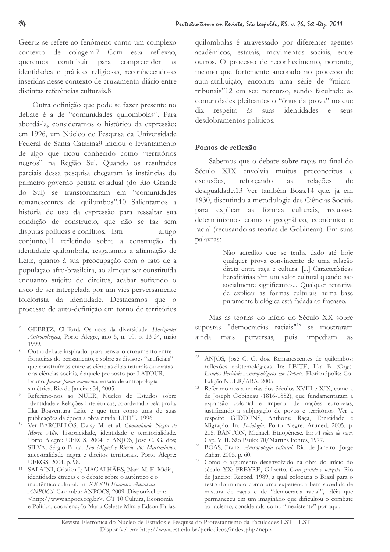Geertz se refere ao fenômeno como um complexo contexto de colagem.7 Com esta reflexão, queremos contribuir para compreender as identidades e práticas religiosas, reconhecendo-as inseridas nesse contexto de cruzamento diário entre distintas referências culturais 8

Outra definição que pode se fazer presente no debate é a de "comunidades quilombolas". Para abordá-la, consideramos o histórico da expressão: em 1996, um Núcleo de Pesquisa da Universidade Federal de Santa Catarina9 iniciou o levantamento de algo que ficou conhecido como "territórios negros" na Região Sul. Quando os resultados parciais dessa pesquisa chegaram às instâncias do primeiro governo petista estadual (do Rio Grande do Sul) se transformaram em "comunidades remanescentes de quilombos".10 Salientamos a história de uso da expressão para ressaltar sua condição de constructo, que não se faz sem disputas políticas e conflitos. Em artigo conjunto,11 refletindo sobre a construção da identidade quilombola, resgatamos a afirmação de Leite, quanto à sua preocupação com o fato de a população afro-brasileira, ao almejar ser constituída enquanto sujeito de direitos, acabar sofrendo o risco de ser interpelada por um viés perversamente folclorista da identidade. Destacamos que o processo de auto-definição em torno de territórios

quilombolas é atravessado por diferentes agentes acadêmicos, estatais, movimentos sociais, entre outros. O processo de reconhecimento, portanto, mesmo que fortemente ancorado no processo de auto-atribuição, encontra uma série de "microtribunais"12 em seu percurso, sendo facultado às comunidades pleiteantes o "ônus da prova" no que diz respeito às suas identidades e seus desdobramentos políticos.

# Pontos de reflexão

Sabemos que o debate sobre raças no final do Século XIX envolvia muitos preconceitos e reforcando exclusões, *as* relações de desigualdade.13 Ver também Boas,14 que, já em 1930, discutindo a metodologia das Ciências Sociais para explicar as formas culturais, recusava determinismos como o geográfico, econômico e racial (recusando as teorias de Gobineau). Em suas palayras:

> Não acredito que se tenha dado até hoje qualquer prova convincente de uma relação direta entre raça e cultura. [...] Características hereditárias têm um valor cultural quando são socialmente significantes... Qualquer tentativa de explicar as formas culturais numa base puramente biológica está fadada ao fracasso.

Mas as teorias do início do Século XX sobre supostas "democracias raciais"<sup>15</sup> se mostraram ainda mais perversas, impediam pois  $\overline{a}$ 

GEERTZ, Clifford, Os usos da diversidade. Horizontes Antropológicos, Porto Alegre, ano 5, n. 10, p. 13-34, maio 1999.

<sup>&</sup>lt;sup>8</sup> Outro debate inspirador para pensar o cruzamento entre fronteiras do pensamento, e sobre as divisões "artificiais" que construímos entre as ciências ditas naturais ou exatas e as ciências sociais, é aquele proposto por LATOUR, Bruno. Jamais fomos modernos: ensaio de antropologia simétrica. Rio de Janeiro: 34, 2005.

Referimo-nos ao NUER. Núcleo de Estudos sobre Identidade e Relações Interétnicas, coordenado pela profa. Ilka Boaventura Leite e que tem como uma de suas publicações da época a obra citada: LEITE, 1996.

Ver BARCELLOS, Daisy M. et al. Comunidade Negra de Morro Alto: historicidade, identidade e territorialidade. Porto Alegre: UFRGS, 2004. e ANJOS, José C. G. dos; SILVA, Sérgio B. da. São Miguel e Rincão dos Martimianos: ancestralidade negra e direitos territoriais. Porto Alegre: UFRGS, 2004. p. 98.

SALAINI, Cristian J.; MAGALHÃES, Nara M. E. Mídia, identidades étnicas e o debate sobre o autêntico e o inautêntico cultural. In: XXXIII Encontro Anual da ANPOCS. Caxambu: ANPOCS, 2009. Disponível em: <http://www.anpocs.org.br>. GT 10 Cultura, Economia e Política, coordenação Maria Celeste Mira e Edson Farias.

<sup>&</sup>lt;sup>12</sup> ANJOS, José C. G. dos. Remanescentes de quilombos: reflexões epistemológicas. In: LEITE, Ilka B. (Org.). Laudos Periciais Antropológicos em Debate. Florianópolis: Co-Edicão NUER/ABA, 2005.

<sup>&</sup>lt;sup>13</sup> Referimo-nos a teorias dos Séculos XVIII e XIX, como a de Joseph Gobineau (1816-1882), que fundamentaram a expansão colonial e imperial de nações européias, justificando a subjugação de povos e territórios. Ver a respeito GIDDENS, Anthony. Raça, Etnicidade e Migração. In: Sociologia. Porto Alegre: Artmed, 2005. p. 205. BANTON, Michael. Etnogênese. In: A idéia de raça. Cap. VIII. São Paulo: 70/Martins Fontes, 1977.

 $14$ BOAS, Franz. Antropologia cultural. Rio de Janeiro: Jorge Zahar, 2005. p. 60.

 $15$ Como o argumento desenvolvido na obra do início do século XX: FREYRE, Gilberto. Casa grande e senzala. Rio de Janeiro: Record, 1989, a qual colocaria o Brasil para o resto do mundo como uma experiência bem sucedida de mistura de raças e de "democracia racial", idéia que permaneceu em um imaginário que dificultou o combate ao racismo, considerado como "inexistente" por aqui.